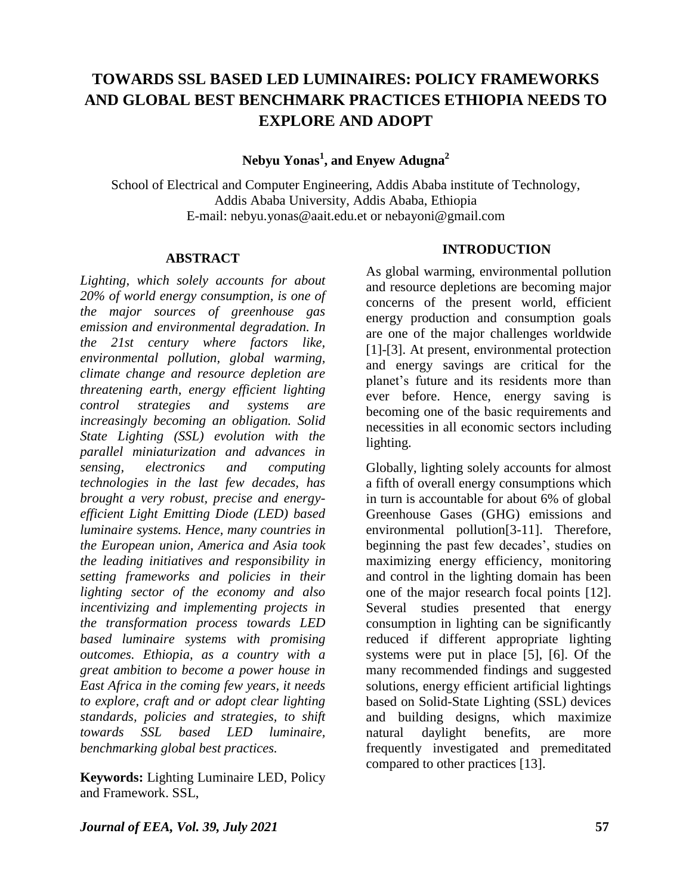# **TOWARDS SSL BASED LED LUMINAIRES: POLICY FRAMEWORKS AND GLOBAL BEST BENCHMARK PRACTICES ETHIOPIA NEEDS TO EXPLORE AND ADOPT**

**Nebyu Yonas<sup>1</sup> , and Enyew Adugna<sup>2</sup>**

School of Electrical and Computer Engineering, Addis Ababa institute of Technology, Addis Ababa University, Addis Ababa, Ethiopia E-mail: [nebyu.yonas@aait.edu.et](mailto:nebyu.yonas@aait.edu.et) or nebayoni@gmail.com

#### **ABSTRACT**

*Lighting, which solely accounts for about 20% of world energy consumption, is one of the major sources of greenhouse gas emission and environmental degradation. In the 21st century where factors like, environmental pollution, global warming, climate change and resource depletion are threatening earth, energy efficient lighting control strategies and systems are increasingly becoming an obligation. Solid State Lighting (SSL) evolution with the parallel miniaturization and advances in sensing, electronics and computing technologies in the last few decades, has brought a very robust, precise and energyefficient Light Emitting Diode (LED) based luminaire systems. Hence, many countries in the European union, America and Asia took the leading initiatives and responsibility in setting frameworks and policies in their lighting sector of the economy and also incentivizing and implementing projects in the transformation process towards LED based luminaire systems with promising outcomes. Ethiopia, as a country with a great ambition to become a power house in East Africa in the coming few years, it needs to explore, craft and or adopt clear lighting standards, policies and strategies, to shift towards SSL based LED luminaire, benchmarking global best practices.*

**Keywords:** Lighting Luminaire LED, Policy and Framework. SSL,

#### **INTRODUCTION**

As global warming, environmental pollution and resource depletions are becoming major concerns of the present world, efficient energy production and consumption goals are one of the major challenges worldwide [1]-[3]. At present, environmental protection and energy savings are critical for the planet"s future and its residents more than ever before. Hence, energy saving is becoming one of the basic requirements and necessities in all economic sectors including lighting.

Globally, lighting solely accounts for almost a fifth of overall energy consumptions which in turn is accountable for about 6% of global Greenhouse Gases (GHG) emissions and environmental pollution[3-11]. Therefore, beginning the past few decades', studies on maximizing energy efficiency, monitoring and control in the lighting domain has been one of the major research focal points [12]. Several studies presented that energy consumption in lighting can be significantly reduced if different appropriate lighting systems were put in place [5], [6]. Of the many recommended findings and suggested solutions, energy efficient artificial lightings based on Solid-State Lighting (SSL) devices and building designs, which maximize natural daylight benefits, are more frequently investigated and premeditated compared to other practices [13].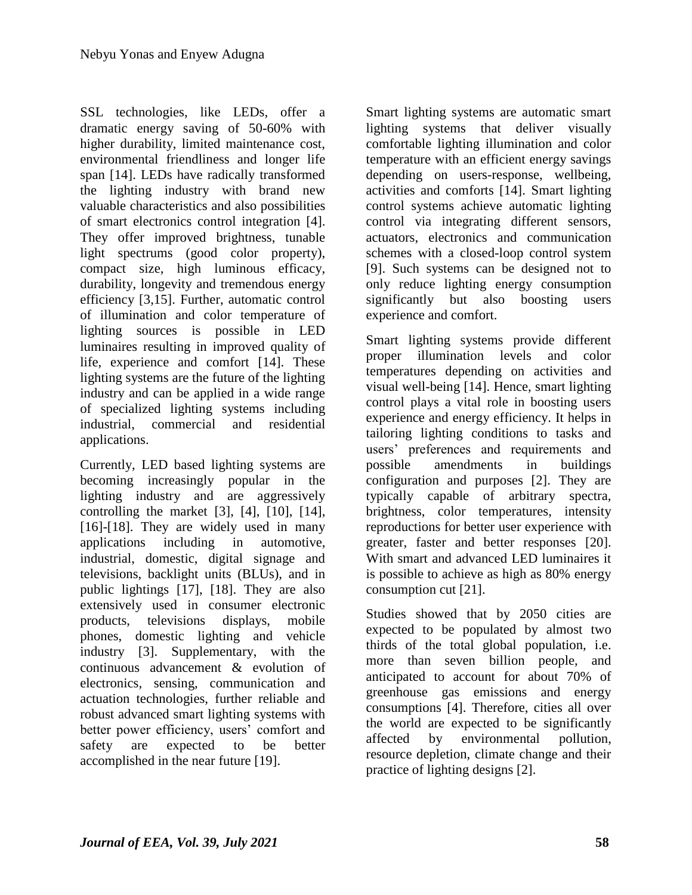SSL technologies, like LEDs, offer a dramatic energy saving of 50-60% with higher durability, limited maintenance cost, environmental friendliness and longer life span [14]. LEDs have radically transformed the lighting industry with brand new valuable characteristics and also possibilities of smart electronics control integration [4]. They offer improved brightness, tunable light spectrums (good color property), compact size, high luminous efficacy, durability, longevity and tremendous energy efficiency [3,15]. Further, automatic control of illumination and color temperature of lighting sources is possible in LED luminaires resulting in improved quality of life, experience and comfort [14]. These lighting systems are the future of the lighting industry and can be applied in a wide range of specialized lighting systems including industrial, commercial and residential applications.

Currently, LED based lighting systems are becoming increasingly popular in the lighting industry and are aggressively controlling the market  $[3]$ ,  $[4]$ ,  $[10]$ ,  $[14]$ , [16]-[18]. They are widely used in many applications including in automotive, industrial, domestic, digital signage and televisions, backlight units (BLUs), and in public lightings [17], [18]. They are also extensively used in consumer electronic products, televisions displays, mobile phones, domestic lighting and vehicle industry [3]. Supplementary, with the continuous advancement & evolution of electronics, sensing, communication and actuation technologies, further reliable and robust advanced smart lighting systems with better power efficiency, users' comfort and safety are expected to be better accomplished in the near future [19].

Smart lighting systems are automatic smart lighting systems that deliver visually comfortable lighting illumination and color temperature with an efficient energy savings depending on users-response, wellbeing, activities and comforts [14]. Smart lighting control systems achieve automatic lighting control via integrating different sensors, actuators, electronics and communication schemes with a closed-loop control system [9]. Such systems can be designed not to only reduce lighting energy consumption significantly but also boosting users experience and comfort.

Smart lighting systems provide different proper illumination levels and color temperatures depending on activities and visual well-being [14]. Hence, smart lighting control plays a vital role in boosting users experience and energy efficiency. It helps in tailoring lighting conditions to tasks and users" preferences and requirements and possible amendments in buildings configuration and purposes [2]. They are typically capable of arbitrary spectra, brightness, color temperatures, intensity reproductions for better user experience with greater, faster and better responses [20]. With smart and advanced LED luminaires it is possible to achieve as high as 80% energy consumption cut [21].

Studies showed that by 2050 cities are expected to be populated by almost two thirds of the total global population, i.e. more than seven billion people, and anticipated to account for about 70% of greenhouse gas emissions and energy consumptions [4]. Therefore, cities all over the world are expected to be significantly affected by environmental pollution, resource depletion, climate change and their practice of lighting designs [2].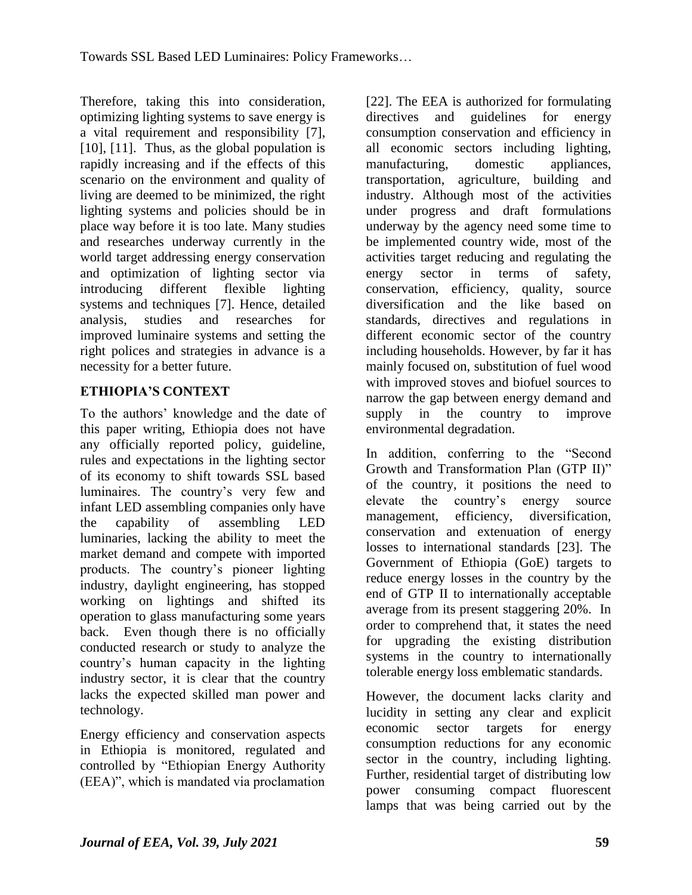Therefore, taking this into consideration, optimizing lighting systems to save energy is a vital requirement and responsibility [7], [10], [11]. Thus, as the global population is rapidly increasing and if the effects of this scenario on the environment and quality of living are deemed to be minimized, the right lighting systems and policies should be in place way before it is too late. Many studies and researches underway currently in the world target addressing energy conservation and optimization of lighting sector via introducing different flexible lighting systems and techniques [7]. Hence, detailed analysis, studies and researches for improved luminaire systems and setting the right polices and strategies in advance is a necessity for a better future.

### **ETHIOPIA'S CONTEXT**

To the authors" knowledge and the date of this paper writing, Ethiopia does not have any officially reported policy, guideline, rules and expectations in the lighting sector of its economy to shift towards SSL based luminaires. The country"s very few and infant LED assembling companies only have the capability of assembling LED luminaries, lacking the ability to meet the market demand and compete with imported products. The country"s pioneer lighting industry, daylight engineering, has stopped working on lightings and shifted its operation to glass manufacturing some years back. Even though there is no officially conducted research or study to analyze the country"s human capacity in the lighting industry sector, it is clear that the country lacks the expected skilled man power and technology.

Energy efficiency and conservation aspects in Ethiopia is monitored, regulated and controlled by "Ethiopian Energy Authority (EEA)", which is mandated via proclamation

[22]. The EEA is authorized for formulating directives and guidelines for energy consumption conservation and efficiency in all economic sectors including lighting, manufacturing, domestic appliances, transportation, agriculture, building and industry. Although most of the activities under progress and draft formulations underway by the agency need some time to be implemented country wide, most of the activities target reducing and regulating the energy sector in terms of safety, conservation, efficiency, quality, source diversification and the like based on standards, directives and regulations in different economic sector of the country including households. However, by far it has mainly focused on, substitution of fuel wood with improved stoves and biofuel sources to narrow the gap between energy demand and supply in the country to improve environmental degradation.

In addition, conferring to the "Second Growth and Transformation Plan (GTP II)" of the country, it positions the need to elevate the country"s energy source management, efficiency, diversification, conservation and extenuation of energy losses to international standards [23]. The Government of Ethiopia (GoE) targets to reduce energy losses in the country by the end of GTP II to internationally acceptable average from its present staggering 20%. In order to comprehend that, it states the need for upgrading the existing distribution systems in the country to internationally tolerable energy loss emblematic standards.

However, the document lacks clarity and lucidity in setting any clear and explicit economic sector targets for energy consumption reductions for any economic sector in the country, including lighting. Further, residential target of distributing low power consuming compact fluorescent lamps that was being carried out by the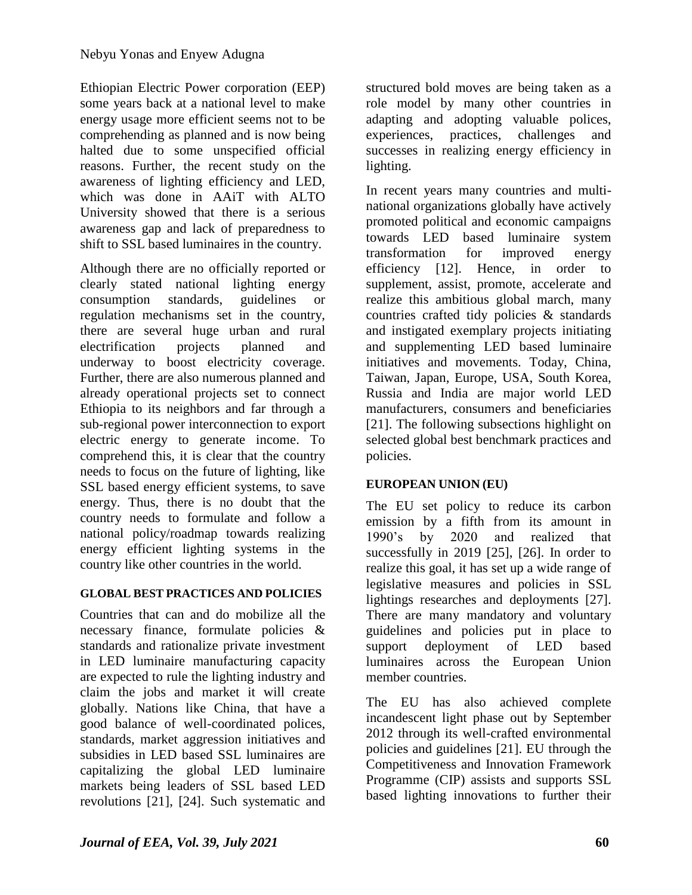Ethiopian Electric Power corporation (EEP) some years back at a national level to make energy usage more efficient seems not to be comprehending as planned and is now being halted due to some unspecified official reasons. Further, the recent study on the awareness of lighting efficiency and LED, which was done in AAiT with ALTO University showed that there is a serious awareness gap and lack of preparedness to shift to SSL based luminaires in the country.

Although there are no officially reported or clearly stated national lighting energy consumption standards, guidelines or regulation mechanisms set in the country, there are several huge urban and rural electrification projects planned and underway to boost electricity coverage. Further, there are also numerous planned and already operational projects set to connect Ethiopia to its neighbors and far through a sub-regional power interconnection to export electric energy to generate income. To comprehend this, it is clear that the country needs to focus on the future of lighting, like SSL based energy efficient systems, to save energy. Thus, there is no doubt that the country needs to formulate and follow a national policy/roadmap towards realizing energy efficient lighting systems in the country like other countries in the world.

### **GLOBAL BEST PRACTICES AND POLICIES**

Countries that can and do mobilize all the necessary finance, formulate policies & standards and rationalize private investment in LED luminaire manufacturing capacity are expected to rule the lighting industry and claim the jobs and market it will create globally. Nations like China, that have a good balance of well-coordinated polices, standards, market aggression initiatives and subsidies in LED based SSL luminaires are capitalizing the global LED luminaire markets being leaders of SSL based LED revolutions [21], [24]. Such systematic and structured bold moves are being taken as a role model by many other countries in adapting and adopting valuable polices, experiences, practices, challenges and successes in realizing energy efficiency in lighting.

In recent years many countries and multinational organizations globally have actively promoted political and economic campaigns towards LED based luminaire system transformation for improved energy efficiency [12]. Hence, in order to supplement, assist, promote, accelerate and realize this ambitious global march, many countries crafted tidy policies & standards and instigated exemplary projects initiating and supplementing LED based luminaire initiatives and movements. Today, China, Taiwan, Japan, Europe, USA, South Korea, Russia and India are major world LED manufacturers, consumers and beneficiaries [21]. The following subsections highlight on selected global best benchmark practices and policies.

## **EUROPEAN UNION (EU)**

The EU set policy to reduce its carbon emission by a fifth from its amount in 1990"s by 2020 and realized that successfully in 2019 [25], [26]. In order to realize this goal, it has set up a wide range of legislative measures and policies in SSL lightings researches and deployments [27]. There are many mandatory and voluntary guidelines and policies put in place to support deployment of LED based luminaires across the European Union member countries.

The EU has also achieved complete incandescent light phase out by September 2012 through its well-crafted environmental policies and guidelines [21]. EU through the Competitiveness and Innovation Framework Programme (CIP) assists and supports SSL based lighting innovations to further their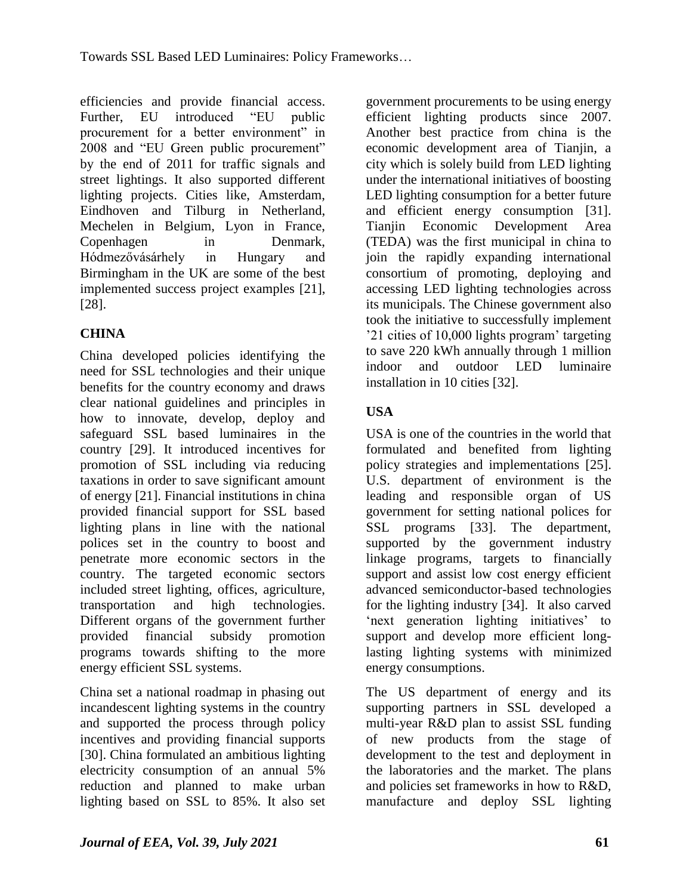efficiencies and provide financial access. Further, EU introduced "EU public procurement for a better environment" in 2008 and "EU Green public procurement" by the end of 2011 for traffic signals and street lightings. It also supported different lighting projects. Cities like, Amsterdam, Eindhoven and Tilburg in Netherland, Mechelen in Belgium, Lyon in France, Copenhagen in Denmark, Hódmezővásárhely in Hungary and Birmingham in the UK are some of the best implemented success project examples [21], [28].

# **CHINA**

China developed policies identifying the need for SSL technologies and their unique benefits for the country economy and draws clear national guidelines and principles in how to innovate, develop, deploy and safeguard SSL based luminaires in the country [29]. It introduced incentives for promotion of SSL including via reducing taxations in order to save significant amount of energy [21]. Financial institutions in china provided financial support for SSL based lighting plans in line with the national polices set in the country to boost and penetrate more economic sectors in the country. The targeted economic sectors included street lighting, offices, agriculture, transportation and high technologies. Different organs of the government further provided financial subsidy promotion programs towards shifting to the more energy efficient SSL systems.

China set a national roadmap in phasing out incandescent lighting systems in the country and supported the process through policy incentives and providing financial supports [30]. China formulated an ambitious lighting electricity consumption of an annual 5% reduction and planned to make urban lighting based on SSL to 85%. It also set

government procurements to be using energy efficient lighting products since 2007. Another best practice from china is the economic development area of Tianjin, a city which is solely build from LED lighting under the international initiatives of boosting LED lighting consumption for a better future and efficient energy consumption [31]. Tianjin Economic Development Area (TEDA) was the first municipal in china to join the rapidly expanding international consortium of promoting, deploying and accessing LED lighting technologies across its municipals. The Chinese government also took the initiative to successfully implement "21 cities of 10,000 lights program" targeting to save 220 kWh annually through 1 million indoor and outdoor LED luminaire installation in 10 cities [32].

# **USA**

USA is one of the countries in the world that formulated and benefited from lighting policy strategies and implementations [25]. U.S. department of environment is the leading and responsible organ of US government for setting national polices for SSL programs [33]. The department, supported by the government industry linkage programs, targets to financially support and assist low cost energy efficient advanced semiconductor-based technologies for the lighting industry [34]. It also carved 'next generation lighting initiatives' to support and develop more efficient longlasting lighting systems with minimized energy consumptions.

The US department of energy and its supporting partners in SSL developed a multi-year R&D plan to assist SSL funding of new products from the stage of development to the test and deployment in the laboratories and the market. The plans and policies set frameworks in how to R&D, manufacture and deploy SSL lighting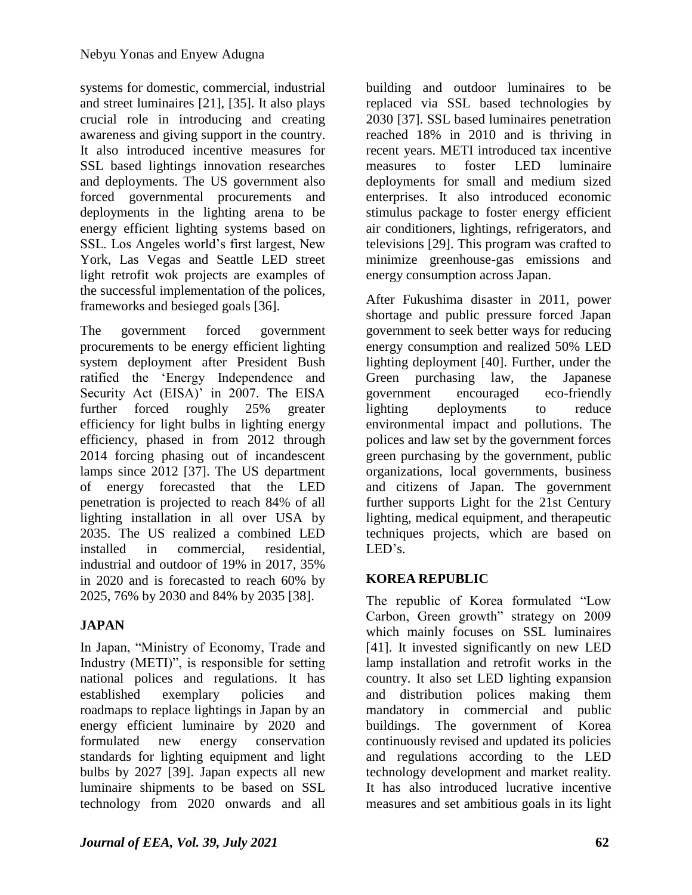systems for domestic, commercial, industrial and street luminaires [21], [35]. It also plays crucial role in introducing and creating awareness and giving support in the country. It also introduced incentive measures for SSL based lightings innovation researches and deployments. The US government also forced governmental procurements and deployments in the lighting arena to be energy efficient lighting systems based on SSL. Los Angeles world"s first largest, New York, Las Vegas and Seattle LED street light retrofit wok projects are examples of the successful implementation of the polices, frameworks and besieged goals [36].

The government forced government procurements to be energy efficient lighting system deployment after President Bush ratified the "Energy Independence and Security Act (EISA)' in 2007. The EISA further forced roughly 25% greater efficiency for light bulbs in lighting energy efficiency, phased in from 2012 through 2014 forcing phasing out of incandescent lamps since 2012 [37]. The US department of energy forecasted that the LED penetration is projected to reach 84% of all lighting installation in all over USA by 2035. The US realized a combined LED installed in commercial, residential, industrial and outdoor of 19% in 2017, 35% in 2020 and is forecasted to reach 60% by 2025, 76% by 2030 and 84% by 2035 [38].

# **JAPAN**

In Japan, "Ministry of Economy, Trade and Industry (METI)", is responsible for setting national polices and regulations. It has established exemplary policies and roadmaps to replace lightings in Japan by an energy efficient luminaire by 2020 and formulated new energy conservation standards for lighting equipment and light bulbs by 2027 [39]. Japan expects all new luminaire shipments to be based on SSL technology from 2020 onwards and all

building and outdoor luminaires to be replaced via SSL based technologies by 2030 [37]. SSL based luminaires penetration reached 18% in 2010 and is thriving in recent years. METI introduced tax incentive measures to foster LED luminaire deployments for small and medium sized enterprises. It also introduced economic stimulus package to foster energy efficient air conditioners, lightings, refrigerators, and televisions [29]. This program was crafted to minimize greenhouse-gas emissions and energy consumption across Japan.

After Fukushima disaster in 2011, power shortage and public pressure forced Japan government to seek better ways for reducing energy consumption and realized 50% LED lighting deployment [40]. Further, under the Green purchasing law, the Japanese government encouraged eco-friendly lighting deployments to reduce environmental impact and pollutions. The polices and law set by the government forces green purchasing by the government, public organizations, local governments, business and citizens of Japan. The government further supports Light for the 21st Century lighting, medical equipment, and therapeutic techniques projects, which are based on LED's.

## **KOREA REPUBLIC**

The republic of Korea formulated "Low Carbon, Green growth" strategy on 2009 which mainly focuses on SSL luminaires [41]. It invested significantly on new LED lamp installation and retrofit works in the country. It also set LED lighting expansion and distribution polices making them mandatory in commercial and public buildings. The government of Korea continuously revised and updated its policies and regulations according to the LED technology development and market reality. It has also introduced lucrative incentive measures and set ambitious goals in its light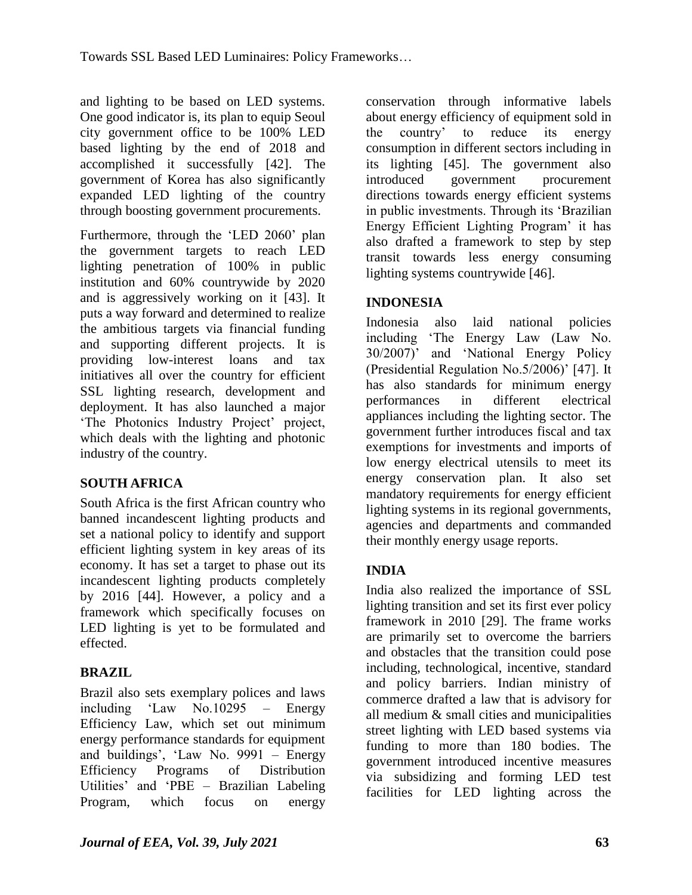and lighting to be based on LED systems. One good indicator is, its plan to equip Seoul city government office to be 100% LED based lighting by the end of 2018 and accomplished it successfully [42]. The government of Korea has also significantly expanded LED lighting of the country through boosting government procurements.

Furthermore, through the "LED 2060" plan the government targets to reach LED lighting penetration of 100% in public institution and 60% countrywide by 2020 and is aggressively working on it [43]. It puts a way forward and determined to realize the ambitious targets via financial funding and supporting different projects. It is providing low-interest loans and tax initiatives all over the country for efficient SSL lighting research, development and deployment. It has also launched a major 'The Photonics Industry Project' project, which deals with the lighting and photonic industry of the country.

## **SOUTH AFRICA**

South Africa is the first African country who banned incandescent lighting products and set a national policy to identify and support efficient lighting system in key areas of its economy. It has set a target to phase out its incandescent lighting products completely by 2016 [44]. However, a policy and a framework which specifically focuses on LED lighting is yet to be formulated and effected.

## **BRAZIL**

Brazil also sets exemplary polices and laws including "Law No.10295 – Energy Efficiency Law, which set out minimum energy performance standards for equipment and buildings", "Law No. 9991 – Energy Efficiency Programs of Distribution Utilities" and "PBE – Brazilian Labeling Program, which focus on energy

conservation through informative labels about energy efficiency of equipment sold in the country" to reduce its energy consumption in different sectors including in its lighting [45]. The government also introduced government procurement directions towards energy efficient systems in public investments. Through its "Brazilian Energy Efficient Lighting Program" it has also drafted a framework to step by step transit towards less energy consuming lighting systems countrywide [46].

## **INDONESIA**

Indonesia also laid national policies including "The Energy Law (Law No. 30/2007)" and "National Energy Policy (Presidential Regulation No.5/2006)' [47]. It has also standards for minimum energy performances in different electrical appliances including the lighting sector. The government further introduces fiscal and tax exemptions for investments and imports of low energy electrical utensils to meet its energy conservation plan. It also set mandatory requirements for energy efficient lighting systems in its regional governments, agencies and departments and commanded their monthly energy usage reports.

### **INDIA**

India also realized the importance of SSL lighting transition and set its first ever policy framework in 2010 [29]. The frame works are primarily set to overcome the barriers and obstacles that the transition could pose including, technological, incentive, standard and policy barriers. Indian ministry of commerce drafted a law that is advisory for all medium & small cities and municipalities street lighting with LED based systems via funding to more than 180 bodies. The government introduced incentive measures via subsidizing and forming LED test facilities for LED lighting across the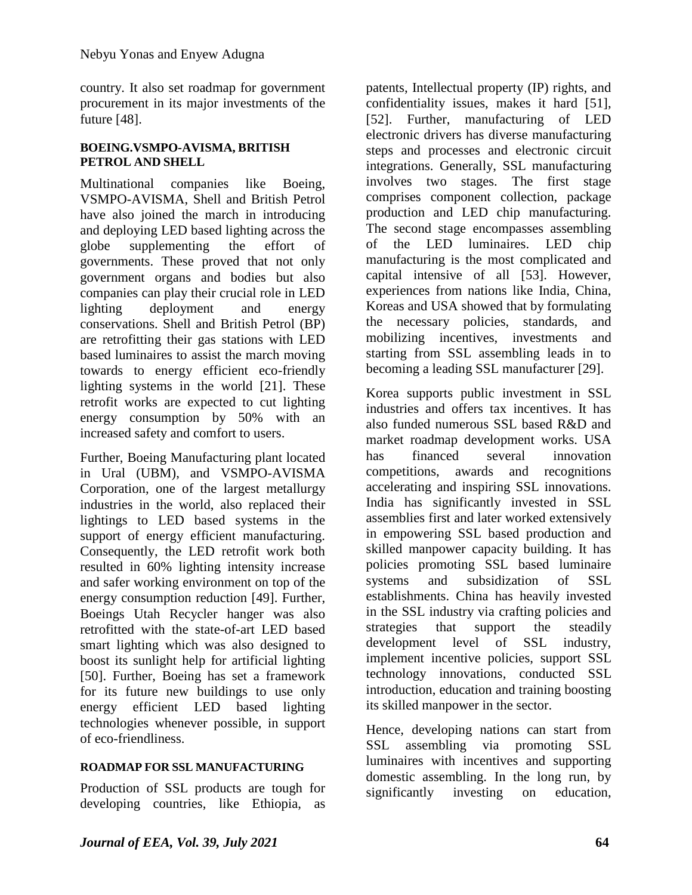country. It also set roadmap for government procurement in its major investments of the future [48].

#### **BOEING.VSMPO-AVISMA, BRITISH PETROL AND SHELL**

Multinational companies like Boeing, VSMPO-AVISMA, Shell and British Petrol have also joined the march in introducing and deploying LED based lighting across the globe supplementing the effort of governments. These proved that not only government organs and bodies but also companies can play their crucial role in LED lighting deployment and energy conservations. Shell and British Petrol (BP) are retrofitting their gas stations with LED based luminaires to assist the march moving towards to energy efficient eco-friendly lighting systems in the world [21]. These retrofit works are expected to cut lighting energy consumption by 50% with an increased safety and comfort to users.

Further, Boeing Manufacturing plant located in Ural (UBM), and VSMPO-AVISMA Corporation, one of the largest metallurgy industries in the world, also replaced their lightings to LED based systems in the support of energy efficient manufacturing. Consequently, the LED retrofit work both resulted in 60% lighting intensity increase and safer working environment on top of the energy consumption reduction [49]. Further, Boeings Utah Recycler hanger was also retrofitted with the state-of-art LED based smart lighting which was also designed to boost its sunlight help for artificial lighting [50]. Further, Boeing has set a framework for its future new buildings to use only energy efficient LED based lighting technologies whenever possible, in support of eco-friendliness.

#### **ROADMAP FOR SSL MANUFACTURING**

Production of SSL products are tough for developing countries, like Ethiopia, as patents, Intellectual property (IP) rights, and confidentiality issues, makes it hard [51], [52]. Further, manufacturing of LED electronic drivers has diverse manufacturing steps and processes and electronic circuit integrations. Generally, SSL manufacturing involves two stages. The first stage comprises component collection, package production and LED chip manufacturing. The second stage encompasses assembling of the LED luminaires. LED chip manufacturing is the most complicated and capital intensive of all [53]. However, experiences from nations like India, China, Koreas and USA showed that by formulating the necessary policies, standards, and mobilizing incentives, investments and starting from SSL assembling leads in to becoming a leading SSL manufacturer [29].

Korea supports public investment in SSL industries and offers tax incentives. It has also funded numerous SSL based R&D and market roadmap development works. USA has financed several innovation competitions, awards and recognitions accelerating and inspiring SSL innovations. India has significantly invested in SSL assemblies first and later worked extensively in empowering SSL based production and skilled manpower capacity building. It has policies promoting SSL based luminaire systems and subsidization of SSL establishments. China has heavily invested in the SSL industry via crafting policies and strategies that support the steadily development level of SSL industry, implement incentive policies, support SSL technology innovations, conducted SSL introduction, education and training boosting its skilled manpower in the sector.

Hence, developing nations can start from SSL assembling via promoting SSL luminaires with incentives and supporting domestic assembling. In the long run, by significantly investing on education,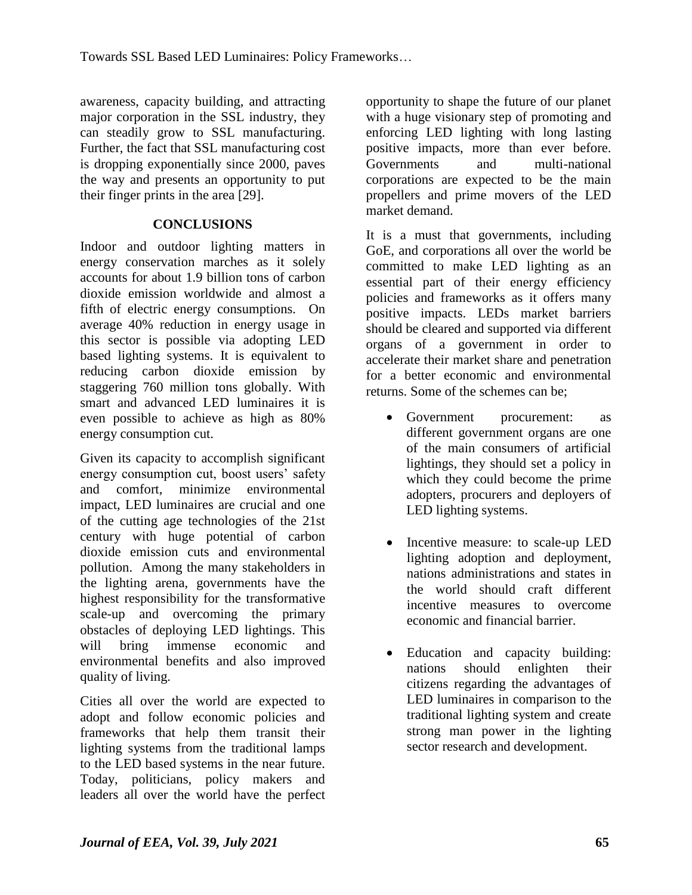awareness, capacity building, and attracting major corporation in the SSL industry, they can steadily grow to SSL manufacturing. Further, the fact that SSL manufacturing cost is dropping exponentially since 2000, paves the way and presents an opportunity to put their finger prints in the area [29].

### **CONCLUSIONS**

Indoor and outdoor lighting matters in energy conservation marches as it solely accounts for about 1.9 billion tons of carbon dioxide emission worldwide and almost a fifth of electric energy consumptions. On average 40% reduction in energy usage in this sector is possible via adopting LED based lighting systems. It is equivalent to reducing carbon dioxide emission by staggering 760 million tons globally. With smart and advanced LED luminaires it is even possible to achieve as high as 80% energy consumption cut.

Given its capacity to accomplish significant energy consumption cut, boost users' safety and comfort, minimize environmental impact, LED luminaires are crucial and one of the cutting age technologies of the 21st century with huge potential of carbon dioxide emission cuts and environmental pollution. Among the many stakeholders in the lighting arena, governments have the highest responsibility for the transformative scale-up and overcoming the primary obstacles of deploying LED lightings. This will bring immense economic and environmental benefits and also improved quality of living.

Cities all over the world are expected to adopt and follow economic policies and frameworks that help them transit their lighting systems from the traditional lamps to the LED based systems in the near future. Today, politicians, policy makers and leaders all over the world have the perfect

opportunity to shape the future of our planet with a huge visionary step of promoting and enforcing LED lighting with long lasting positive impacts, more than ever before. Governments and multi-national corporations are expected to be the main propellers and prime movers of the LED market demand.

It is a must that governments, including GoE, and corporations all over the world be committed to make LED lighting as an essential part of their energy efficiency policies and frameworks as it offers many positive impacts. LEDs market barriers should be cleared and supported via different organs of a government in order to accelerate their market share and penetration for a better economic and environmental returns. Some of the schemes can be;

- Government procurement: as different government organs are one of the main consumers of artificial lightings, they should set a policy in which they could become the prime adopters, procurers and deployers of LED lighting systems.
- Incentive measure: to scale-up LED lighting adoption and deployment, nations administrations and states in the world should craft different incentive measures to overcome economic and financial barrier.
- Education and capacity building: nations should enlighten their citizens regarding the advantages of LED luminaires in comparison to the traditional lighting system and create strong man power in the lighting sector research and development.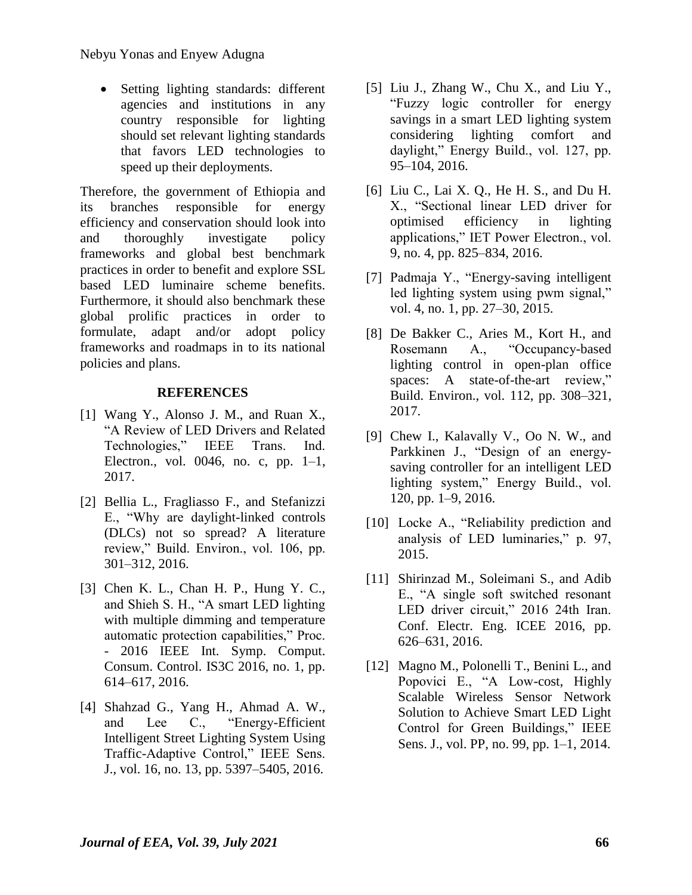• Setting lighting standards: different agencies and institutions in any country responsible for lighting should set relevant lighting standards that favors LED technologies to speed up their deployments.

Therefore, the government of Ethiopia and its branches responsible for energy efficiency and conservation should look into and thoroughly investigate policy frameworks and global best benchmark practices in order to benefit and explore SSL based LED luminaire scheme benefits. Furthermore, it should also benchmark these global prolific practices in order to formulate, adapt and/or adopt policy frameworks and roadmaps in to its national policies and plans.

#### **REFERENCES**

- [1] Wang Y., Alonso J. M., and Ruan X., "A Review of LED Drivers and Related Technologies," IEEE Trans. Ind. Electron., vol. 0046, no. c, pp. 1–1, 2017.
- [2] Bellia L., Fragliasso F., and Stefanizzi E., "Why are daylight-linked controls (DLCs) not so spread? A literature review," Build. Environ., vol. 106, pp. 301–312, 2016.
- [3] Chen K. L., Chan H. P., Hung Y. C., and Shieh S. H., "A smart LED lighting with multiple dimming and temperature automatic protection capabilities," Proc. - 2016 IEEE Int. Symp. Comput. Consum. Control. IS3C 2016, no. 1, pp. 614–617, 2016.
- [4] Shahzad G., Yang H., Ahmad A. W., and Lee C., "Energy-Efficient Intelligent Street Lighting System Using Traffic-Adaptive Control," IEEE Sens. J., vol. 16, no. 13, pp. 5397–5405, 2016.
- [5] Liu J., Zhang W., Chu X., and Liu Y., "Fuzzy logic controller for energy savings in a smart LED lighting system considering lighting comfort and daylight," Energy Build., vol. 127, pp. 95–104, 2016.
- [6] Liu C., Lai X. Q., He H. S., and Du H. X., "Sectional linear LED driver for optimised efficiency in lighting applications," IET Power Electron., vol. 9, no. 4, pp. 825–834, 2016.
- [7] Padmaja Y., "Energy-saving intelligent led lighting system using pwm signal," vol. 4, no. 1, pp. 27–30, 2015.
- [8] De Bakker C., Aries M., Kort H., and Rosemann A., "Occupancy-based lighting control in open-plan office spaces: A state-of-the-art review," Build. Environ., vol. 112, pp. 308–321, 2017.
- [9] Chew I., Kalavally V., Oo N. W., and Parkkinen J., "Design of an energysaving controller for an intelligent LED lighting system," Energy Build., vol. 120, pp. 1–9, 2016.
- [10] Locke A., "Reliability prediction and analysis of LED luminaries," p. 97, 2015.
- [11] Shirinzad M., Soleimani S., and Adib E., "A single soft switched resonant LED driver circuit," 2016 24th Iran. Conf. Electr. Eng. ICEE 2016, pp. 626–631, 2016.
- [12] Magno M., Polonelli T., Benini L., and Popovici E., "A Low-cost, Highly Scalable Wireless Sensor Network Solution to Achieve Smart LED Light Control for Green Buildings," IEEE Sens. J., vol. PP, no. 99, pp. 1–1, 2014.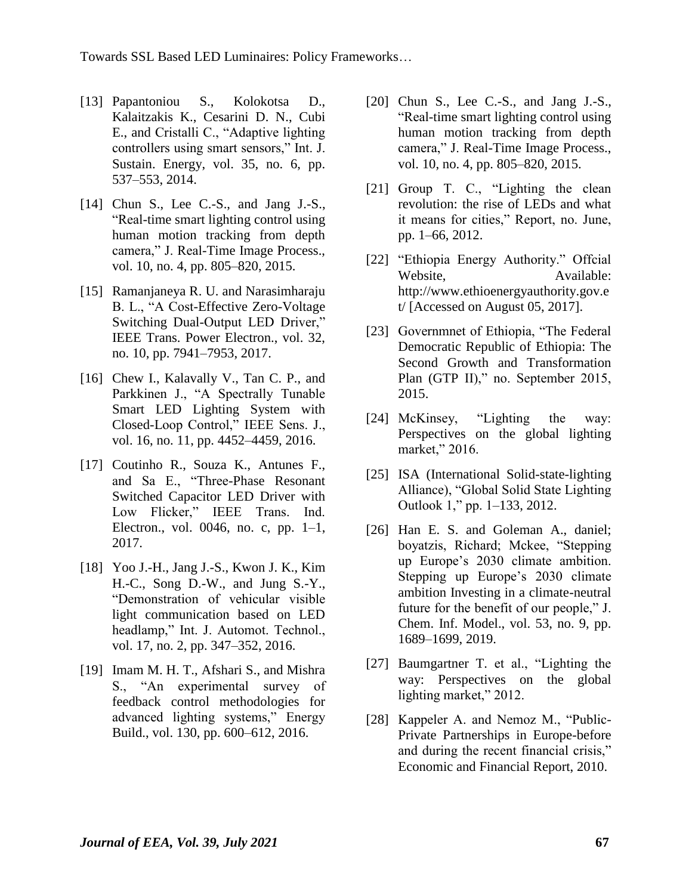Towards SSL Based LED Luminaires: Policy Frameworks…

- [13] Papantoniou S., Kolokotsa D., Kalaitzakis K., Cesarini D. N., Cubi E., and Cristalli C., "Adaptive lighting controllers using smart sensors," Int. J. Sustain. Energy, vol. 35, no. 6, pp. 537–553, 2014.
- [14] Chun S., Lee C.-S., and Jang J.-S., "Real-time smart lighting control using human motion tracking from depth camera," J. Real-Time Image Process., vol. 10, no. 4, pp. 805–820, 2015.
- [15] Ramanjaneya R. U. and Narasimharaju B. L., "A Cost-Effective Zero-Voltage Switching Dual-Output LED Driver," IEEE Trans. Power Electron., vol. 32, no. 10, pp. 7941–7953, 2017.
- [16] Chew I., Kalavally V., Tan C. P., and Parkkinen J., "A Spectrally Tunable Smart LED Lighting System with Closed-Loop Control," IEEE Sens. J., vol. 16, no. 11, pp. 4452–4459, 2016.
- [17] Coutinho R., Souza K., Antunes F., and Sa E., "Three-Phase Resonant Switched Capacitor LED Driver with Low Flicker," IEEE Trans. Ind. Electron., vol. 0046, no. c, pp. 1–1, 2017.
- [18] Yoo J.-H., Jang J.-S., Kwon J. K., Kim H.-C., Song D.-W., and Jung S.-Y., "Demonstration of vehicular visible light communication based on LED headlamp," Int. J. Automot. Technol., vol. 17, no. 2, pp. 347–352, 2016.
- [19] Imam M. H. T., Afshari S., and Mishra S., "An experimental survey of feedback control methodologies for advanced lighting systems," Energy Build., vol. 130, pp. 600–612, 2016.
- [20] Chun S., Lee C.-S., and Jang J.-S., "Real-time smart lighting control using human motion tracking from depth camera," J. Real-Time Image Process., vol. 10, no. 4, pp. 805–820, 2015.
- [21] Group T. C., "Lighting the clean revolution: the rise of LEDs and what it means for cities," Report, no. June, pp. 1–66, 2012.
- [22] "Ethiopia Energy Authority." Offcial Website. Available: http://www.ethioenergyauthority.gov.e t/ [Accessed on August 05, 2017].
- [23] Governmnet of Ethiopia, "The Federal" Democratic Republic of Ethiopia: The Second Growth and Transformation Plan (GTP II)," no. September 2015, 2015.
- [24] McKinsey, "Lighting the way: Perspectives on the global lighting market," 2016.
- [25] ISA (International Solid-state-lighting) Alliance), "Global Solid State Lighting Outlook 1," pp. 1–133, 2012.
- [26] Han E. S. and Goleman A., daniel; boyatzis, Richard; Mckee, "Stepping up Europe"s 2030 climate ambition. Stepping up Europe's 2030 climate ambition Investing in a climate-neutral future for the benefit of our people," J. Chem. Inf. Model., vol. 53, no. 9, pp. 1689–1699, 2019.
- [27] Baumgartner T. et al., "Lighting the way: Perspectives on the global lighting market," 2012.
- [28] Kappeler A. and Nemoz M., "Public-Private Partnerships in Europe-before and during the recent financial crisis," Economic and Financial Report, 2010.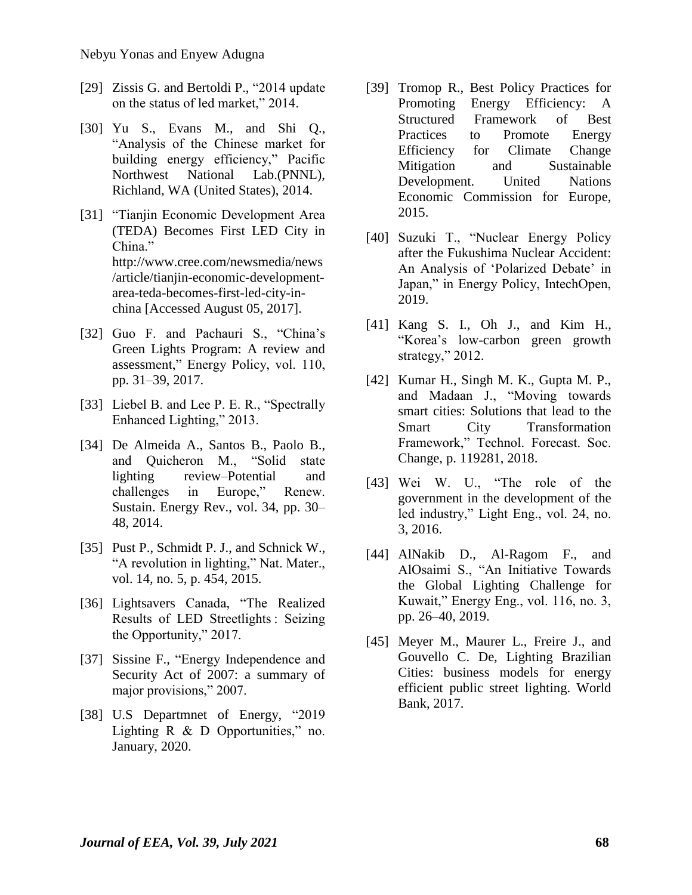- [29] Zissis G. and Bertoldi P., "2014 update" on the status of led market," 2014.
- [30] Yu S., Evans M., and Shi Q., "Analysis of the Chinese market for building energy efficiency," Pacific Northwest National Lab.(PNNL), Richland, WA (United States), 2014.
- [31] "Tianjin Economic Development Area (TEDA) Becomes First LED City in China." http://www.cree.com/newsmedia/news /article/tianjin-economic-developmentarea-teda-becomes-first-led-city-inchina [Accessed August 05, 2017].
- [32] Guo F. and Pachauri S., "China's Green Lights Program: A review and assessment," Energy Policy, vol. 110, pp. 31–39, 2017.
- [33] Liebel B. and Lee P. E. R., "Spectrally Enhanced Lighting," 2013.
- [34] De Almeida A., Santos B., Paolo B., and Quicheron M., "Solid state lighting review–Potential and challenges in Europe," Renew. Sustain. Energy Rev., vol. 34, pp. 30– 48, 2014.
- [35] Pust P., Schmidt P. J., and Schnick W., "A revolution in lighting," Nat. Mater., vol. 14, no. 5, p. 454, 2015.
- [36] Lightsavers Canada, "The Realized Results of LED Streetlights : Seizing the Opportunity," 2017.
- [37] Sissine F., "Energy Independence and Security Act of 2007: a summary of major provisions," 2007.
- [38] U.S Departmnet of Energy, "2019 Lighting R & D Opportunities," no. January, 2020.
- [39] Tromop R., Best Policy Practices for Promoting Energy Efficiency: A Structured Framework of Best Practices to Promote Energy Efficiency for Climate Change Mitigation and Sustainable Development. United Nations Economic Commission for Europe, 2015.
- [40] Suzuki T., "Nuclear Energy Policy after the Fukushima Nuclear Accident: An Analysis of 'Polarized Debate' in Japan," in Energy Policy, IntechOpen, 2019.
- [41] Kang S. I., Oh J., and Kim H., "Korea"s low-carbon green growth strategy," 2012.
- [42] Kumar H., Singh M. K., Gupta M. P., and Madaan J., "Moving towards smart cities: Solutions that lead to the Smart City Transformation Framework," Technol. Forecast. Soc. Change, p. 119281, 2018.
- [43] Wei W. U., "The role of the government in the development of the led industry," Light Eng., vol. 24, no. 3, 2016.
- [44] AlNakib D., Al-Ragom F., and AlOsaimi S., "An Initiative Towards the Global Lighting Challenge for Kuwait," Energy Eng., vol. 116, no. 3, pp. 26–40, 2019.
- [45] Meyer M., Maurer L., Freire J., and Gouvello C. De, Lighting Brazilian Cities: business models for energy efficient public street lighting. World Bank, 2017.